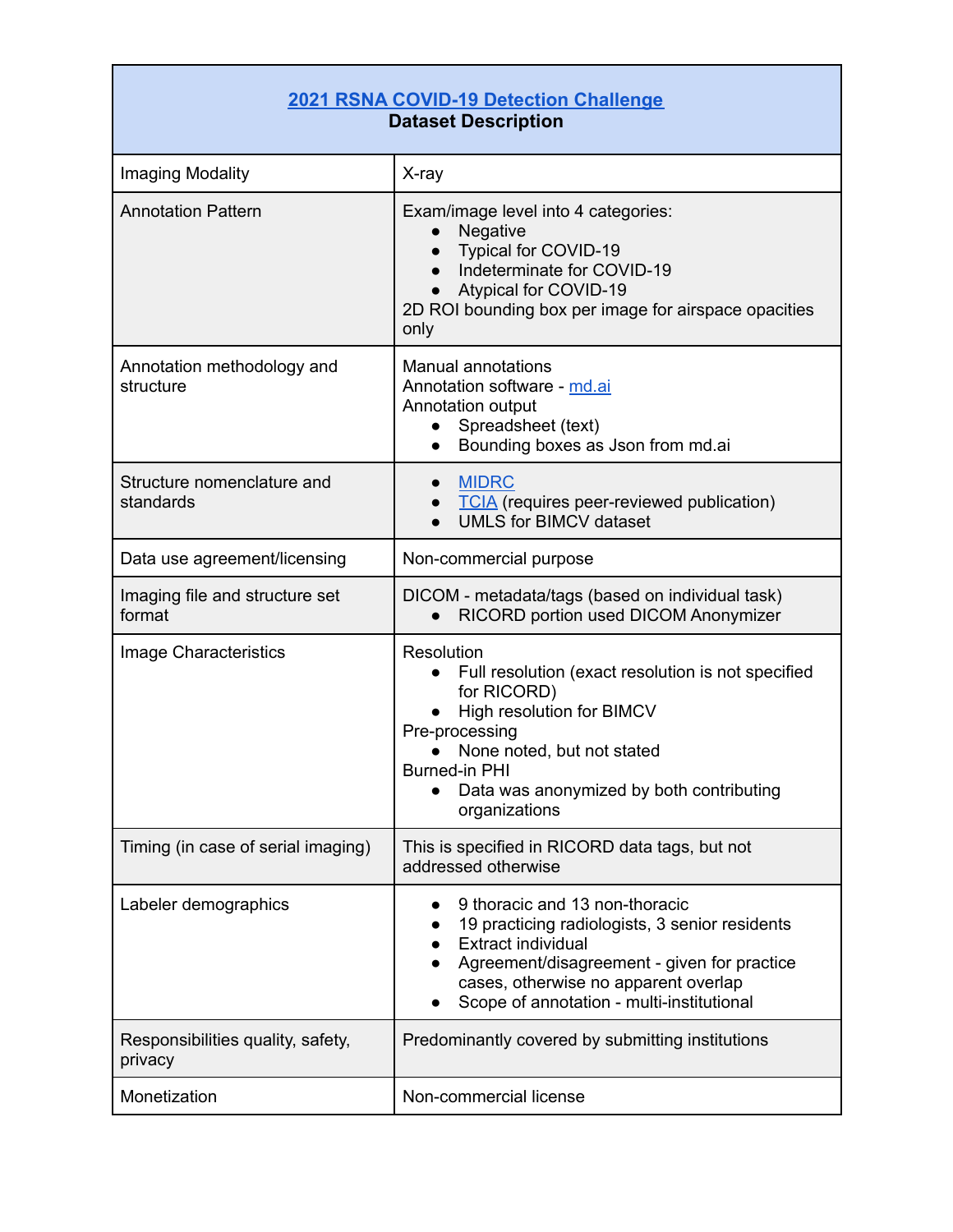## **[2021 RSNA COVID-19 Detection Challenge](https://www.rsna.org/education/ai-resources-and-training/ai-image-challenge/covid-19-al-detection-challenge-2021) Dataset Description**

| Imaging Modality                             | X-ray                                                                                                                                                                                                                                             |
|----------------------------------------------|---------------------------------------------------------------------------------------------------------------------------------------------------------------------------------------------------------------------------------------------------|
| <b>Annotation Pattern</b>                    | Exam/image level into 4 categories:<br>Negative<br>Typical for COVID-19<br>Indeterminate for COVID-19<br>Atypical for COVID-19<br>$\bullet$<br>2D ROI bounding box per image for airspace opacities<br>only                                       |
| Annotation methodology and<br>structure      | <b>Manual annotations</b><br>Annotation software - md.ai<br>Annotation output<br>Spreadsheet (text)<br>Bounding boxes as Json from md.ai                                                                                                          |
| Structure nomenclature and<br>standards      | <b>MIDRC</b><br><b>TCIA</b> (requires peer-reviewed publication)<br><b>UMLS for BIMCV dataset</b>                                                                                                                                                 |
| Data use agreement/licensing                 | Non-commercial purpose                                                                                                                                                                                                                            |
| Imaging file and structure set<br>format     | DICOM - metadata/tags (based on individual task)<br>RICORD portion used DICOM Anonymizer                                                                                                                                                          |
| Image Characteristics                        | Resolution<br>Full resolution (exact resolution is not specified<br>for RICORD)<br>High resolution for BIMCV<br>Pre-processing<br>None noted, but not stated<br><b>Burned-in PHI</b><br>Data was anonymized by both contributing<br>organizations |
| Timing (in case of serial imaging)           | This is specified in RICORD data tags, but not<br>addressed otherwise                                                                                                                                                                             |
| Labeler demographics                         | 9 thoracic and 13 non-thoracic<br>19 practicing radiologists, 3 senior residents<br><b>Extract individual</b><br>Agreement/disagreement - given for practice<br>cases, otherwise no apparent overlap<br>Scope of annotation - multi-institutional |
| Responsibilities quality, safety,<br>privacy | Predominantly covered by submitting institutions                                                                                                                                                                                                  |
| Monetization                                 | Non-commercial license                                                                                                                                                                                                                            |